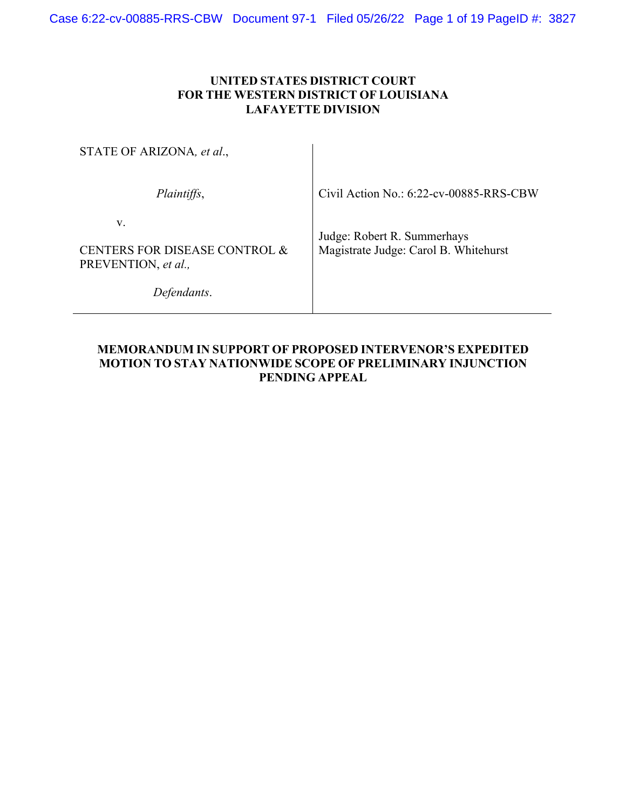# **UNITED STATES DISTRICT COURT FOR THE WESTERN DISTRICT OF LOUISIANA LAFAYETTE DIVISION**

| STATE OF ARIZONA, et al.,                                                 |                                                                      |
|---------------------------------------------------------------------------|----------------------------------------------------------------------|
| Plaintiffs,                                                               | Civil Action No.: 6:22-cv-00885-RRS-CBW                              |
| V.<br>CENTERS FOR DISEASE CONTROL &<br>PREVENTION, et al.,<br>Defendants. | Judge: Robert R. Summerhays<br>Magistrate Judge: Carol B. Whitehurst |

# **MEMORANDUM IN SUPPORT OF PROPOSED INTERVENOR'S EXPEDITED MOTION TO STAY NATIONWIDE SCOPE OF PRELIMINARY INJUNCTION PENDING APPEAL**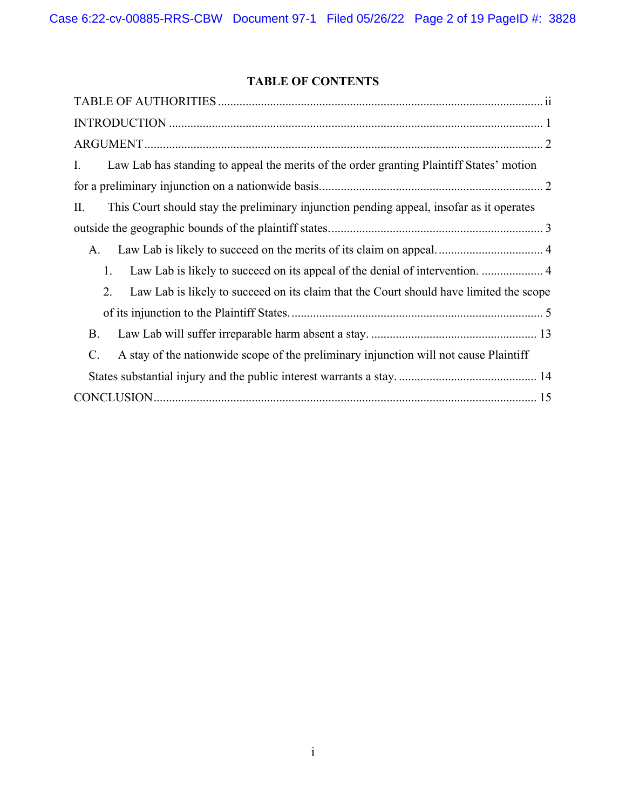# **TABLE OF CONTENTS**

| Law Lab has standing to appeal the merits of the order granting Plaintiff States' motion<br>Ι.           |
|----------------------------------------------------------------------------------------------------------|
|                                                                                                          |
| This Court should stay the preliminary injunction pending appeal, insofar as it operates<br>П.           |
|                                                                                                          |
| A.                                                                                                       |
| Law Lab is likely to succeed on its appeal of the denial of intervention.  4<br>1.                       |
| Law Lab is likely to succeed on its claim that the Court should have limited the scope<br>2.             |
|                                                                                                          |
| В.                                                                                                       |
| A stay of the nationwide scope of the preliminary injunction will not cause Plaintiff<br>$\mathcal{C}$ . |
|                                                                                                          |
|                                                                                                          |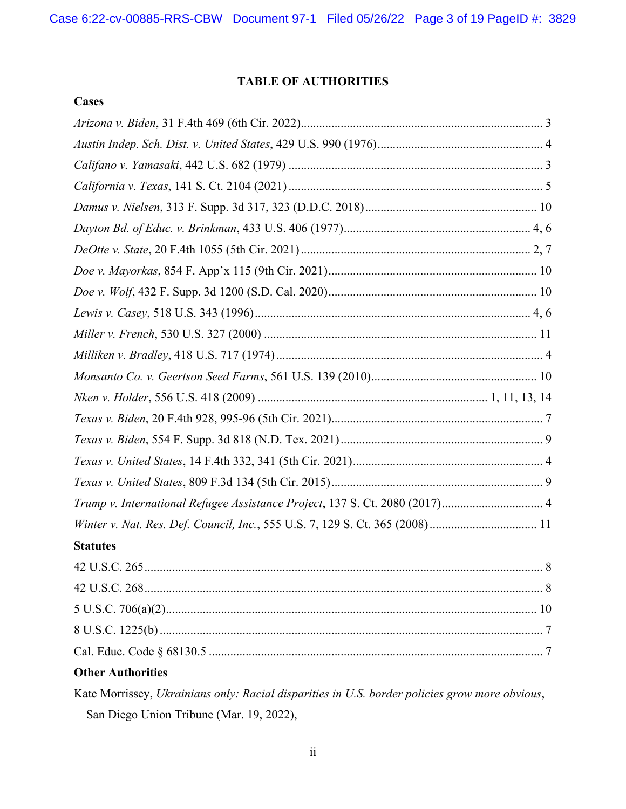# **TABLE OF AUTHORITIES**

| Trump v. International Refugee Assistance Project, 137 S. Ct. 2080 (2017) 4 |
|-----------------------------------------------------------------------------|
|                                                                             |
| <b>Statutes</b>                                                             |
| 42 U.S.C. 265.<br>8                                                         |
|                                                                             |
|                                                                             |
|                                                                             |
|                                                                             |
| <b>Other Authorities</b>                                                    |

Kate Morrissey, *Ukrainians only: Racial disparities in U.S. border policies grow more obvious*, San Diego Union Tribune (Mar. 19, 2022),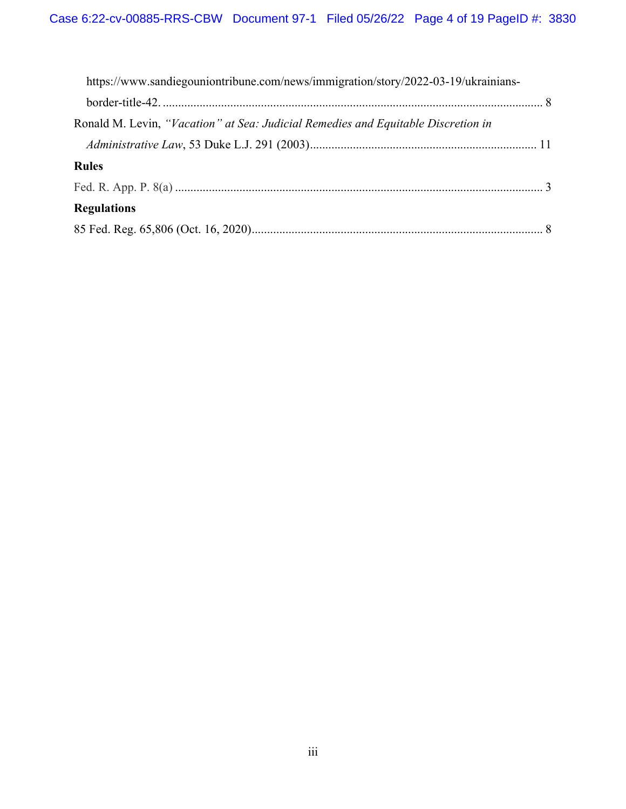| https://www.sandiegouniontribune.com/news/immigration/story/2022-03-19/ukrainians- |  |
|------------------------------------------------------------------------------------|--|
|                                                                                    |  |
| Ronald M. Levin, "Vacation" at Sea: Judicial Remedies and Equitable Discretion in  |  |
|                                                                                    |  |
| <b>Rules</b>                                                                       |  |
|                                                                                    |  |
| <b>Regulations</b>                                                                 |  |
|                                                                                    |  |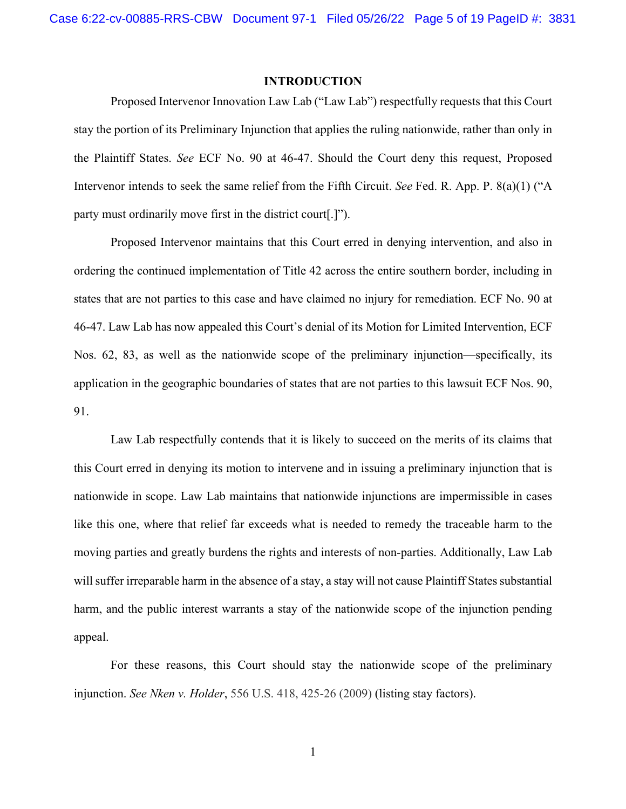#### **INTRODUCTION**

Proposed Intervenor Innovation Law Lab ("Law Lab") respectfully requests that this Court stay the portion of its Preliminary Injunction that applies the ruling nationwide, rather than only in the Plaintiff States. *See* ECF No. 90 at 46-47. Should the Court deny this request, Proposed Intervenor intends to seek the same relief from the Fifth Circuit. *See* Fed. R. App. P. 8(a)(1) ("A party must ordinarily move first in the district court[.]").

Proposed Intervenor maintains that this Court erred in denying intervention, and also in ordering the continued implementation of Title 42 across the entire southern border, including in states that are not parties to this case and have claimed no injury for remediation. ECF No. 90 at 46-47. Law Lab has now appealed this Court's denial of its Motion for Limited Intervention, ECF Nos. 62, 83, as well as the nationwide scope of the preliminary injunction—specifically, its application in the geographic boundaries of states that are not parties to this lawsuit ECF Nos. 90, 91.

Law Lab respectfully contends that it is likely to succeed on the merits of its claims that this Court erred in denying its motion to intervene and in issuing a preliminary injunction that is nationwide in scope. Law Lab maintains that nationwide injunctions are impermissible in cases like this one, where that relief far exceeds what is needed to remedy the traceable harm to the moving parties and greatly burdens the rights and interests of non-parties. Additionally, Law Lab will suffer irreparable harm in the absence of a stay, a stay will not cause Plaintiff States substantial harm, and the public interest warrants a stay of the nationwide scope of the injunction pending appeal.

For these reasons, this Court should stay the nationwide scope of the preliminary injunction. *See Nken v. Holder*, 556 U.S. 418, 425-26 (2009) (listing stay factors).

1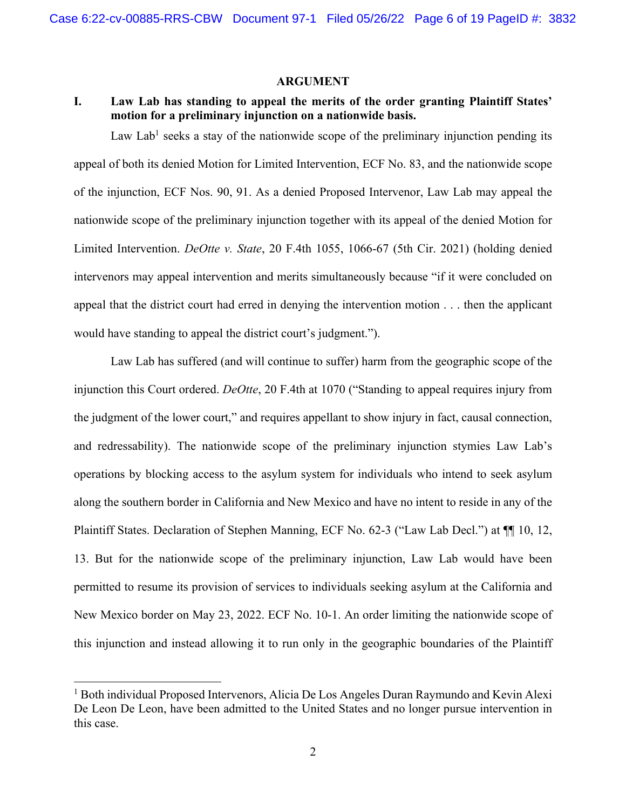#### **ARGUMENT**

# **I. Law Lab has standing to appeal the merits of the order granting Plaintiff States' motion for a preliminary injunction on a nationwide basis.**

Law Lab<sup>1</sup> seeks a stay of the nationwide scope of the preliminary injunction pending its appeal of both its denied Motion for Limited Intervention, ECF No. 83, and the nationwide scope of the injunction, ECF Nos. 90, 91. As a denied Proposed Intervenor, Law Lab may appeal the nationwide scope of the preliminary injunction together with its appeal of the denied Motion for Limited Intervention. *DeOtte v. State*, 20 F.4th 1055, 1066-67 (5th Cir. 2021) (holding denied intervenors may appeal intervention and merits simultaneously because "if it were concluded on appeal that the district court had erred in denying the intervention motion . . . then the applicant would have standing to appeal the district court's judgment.").

Law Lab has suffered (and will continue to suffer) harm from the geographic scope of the injunction this Court ordered. *DeOtte*, 20 F.4th at 1070 ("Standing to appeal requires injury from the judgment of the lower court," and requires appellant to show injury in fact, causal connection, and redressability). The nationwide scope of the preliminary injunction stymies Law Lab's operations by blocking access to the asylum system for individuals who intend to seek asylum along the southern border in California and New Mexico and have no intent to reside in any of the Plaintiff States. Declaration of Stephen Manning, ECF No. 62-3 ("Law Lab Decl.") at ¶¶ 10, 12, 13. But for the nationwide scope of the preliminary injunction, Law Lab would have been permitted to resume its provision of services to individuals seeking asylum at the California and New Mexico border on May 23, 2022. ECF No. 10-1. An order limiting the nationwide scope of this injunction and instead allowing it to run only in the geographic boundaries of the Plaintiff

<sup>&</sup>lt;sup>1</sup> Both individual Proposed Intervenors, Alicia De Los Angeles Duran Raymundo and Kevin Alexi De Leon De Leon, have been admitted to the United States and no longer pursue intervention in this case.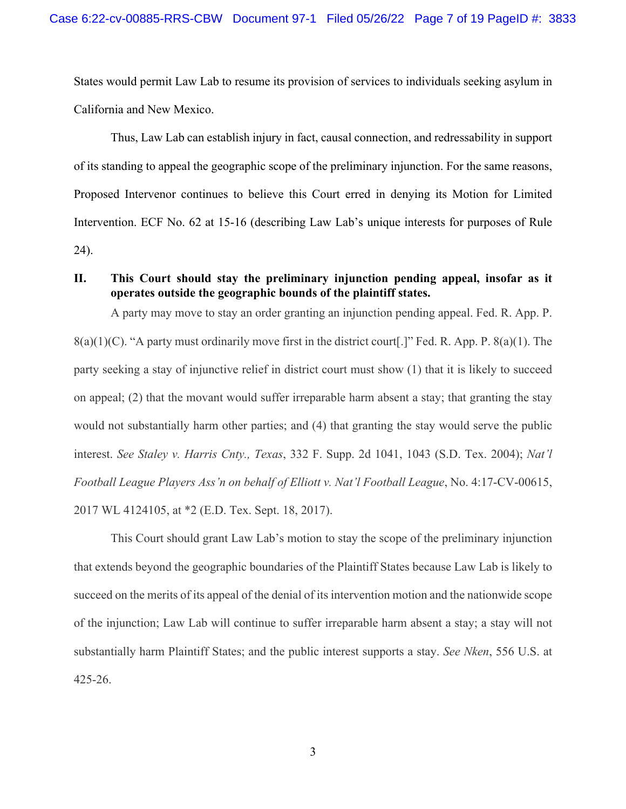States would permit Law Lab to resume its provision of services to individuals seeking asylum in California and New Mexico.

Thus, Law Lab can establish injury in fact, causal connection, and redressability in support of its standing to appeal the geographic scope of the preliminary injunction. For the same reasons, Proposed Intervenor continues to believe this Court erred in denying its Motion for Limited Intervention. ECF No. 62 at 15-16 (describing Law Lab's unique interests for purposes of Rule 24).

# **II. This Court should stay the preliminary injunction pending appeal, insofar as it operates outside the geographic bounds of the plaintiff states.**

A party may move to stay an order granting an injunction pending appeal. Fed. R. App. P.  $8(a)(1)(C)$ . "A party must ordinarily move first in the district court[.]" Fed. R. App. P.  $8(a)(1)$ . The party seeking a stay of injunctive relief in district court must show (1) that it is likely to succeed on appeal; (2) that the movant would suffer irreparable harm absent a stay; that granting the stay would not substantially harm other parties; and (4) that granting the stay would serve the public interest. *See Staley v. Harris Cnty., Texas*, 332 F. Supp. 2d 1041, 1043 (S.D. Tex. 2004); *Nat'l Football League Players Ass'n on behalf of Elliott v. Nat'l Football League*, No. 4:17-CV-00615, 2017 WL 4124105, at \*2 (E.D. Tex. Sept. 18, 2017).

This Court should grant Law Lab's motion to stay the scope of the preliminary injunction that extends beyond the geographic boundaries of the Plaintiff States because Law Lab is likely to succeed on the merits of its appeal of the denial of its intervention motion and the nationwide scope of the injunction; Law Lab will continue to suffer irreparable harm absent a stay; a stay will not substantially harm Plaintiff States; and the public interest supports a stay. *See Nken*, 556 U.S. at 425-26.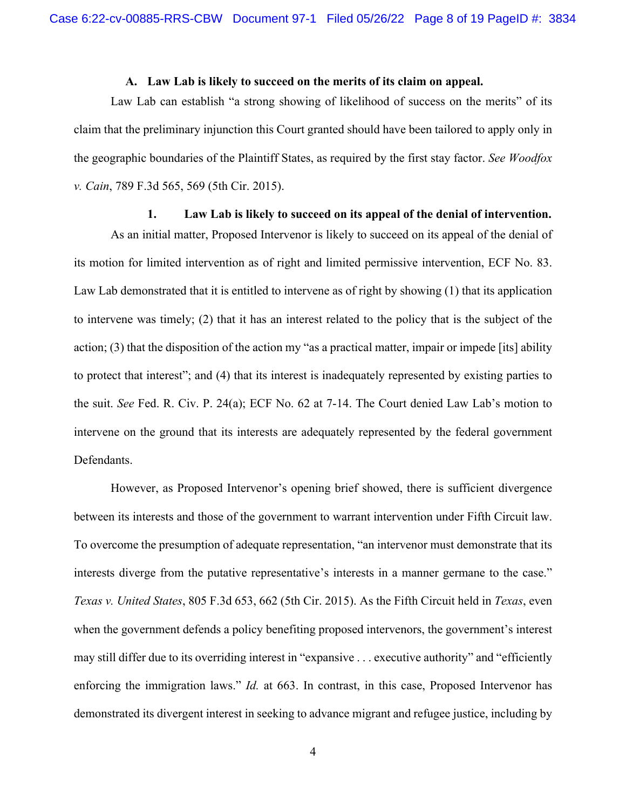#### **A. Law Lab is likely to succeed on the merits of its claim on appeal.**

Law Lab can establish "a strong showing of likelihood of success on the merits" of its claim that the preliminary injunction this Court granted should have been tailored to apply only in the geographic boundaries of the Plaintiff States, as required by the first stay factor. *See Woodfox v. Cain*, 789 F.3d 565, 569 (5th Cir. 2015).

## **1. Law Lab is likely to succeed on its appeal of the denial of intervention.**

As an initial matter, Proposed Intervenor is likely to succeed on its appeal of the denial of its motion for limited intervention as of right and limited permissive intervention, ECF No. 83. Law Lab demonstrated that it is entitled to intervene as of right by showing (1) that its application to intervene was timely; (2) that it has an interest related to the policy that is the subject of the action; (3) that the disposition of the action my "as a practical matter, impair or impede [its] ability to protect that interest"; and (4) that its interest is inadequately represented by existing parties to the suit. *See* Fed. R. Civ. P. 24(a); ECF No. 62 at 7-14. The Court denied Law Lab's motion to intervene on the ground that its interests are adequately represented by the federal government Defendants.

However, as Proposed Intervenor's opening brief showed, there is sufficient divergence between its interests and those of the government to warrant intervention under Fifth Circuit law. To overcome the presumption of adequate representation, "an intervenor must demonstrate that its interests diverge from the putative representative's interests in a manner germane to the case." *Texas v. United States*, 805 F.3d 653, 662 (5th Cir. 2015). As the Fifth Circuit held in *Texas*, even when the government defends a policy benefiting proposed intervenors, the government's interest may still differ due to its overriding interest in "expansive . . . executive authority" and "efficiently enforcing the immigration laws." *Id.* at 663. In contrast, in this case, Proposed Intervenor has demonstrated its divergent interest in seeking to advance migrant and refugee justice, including by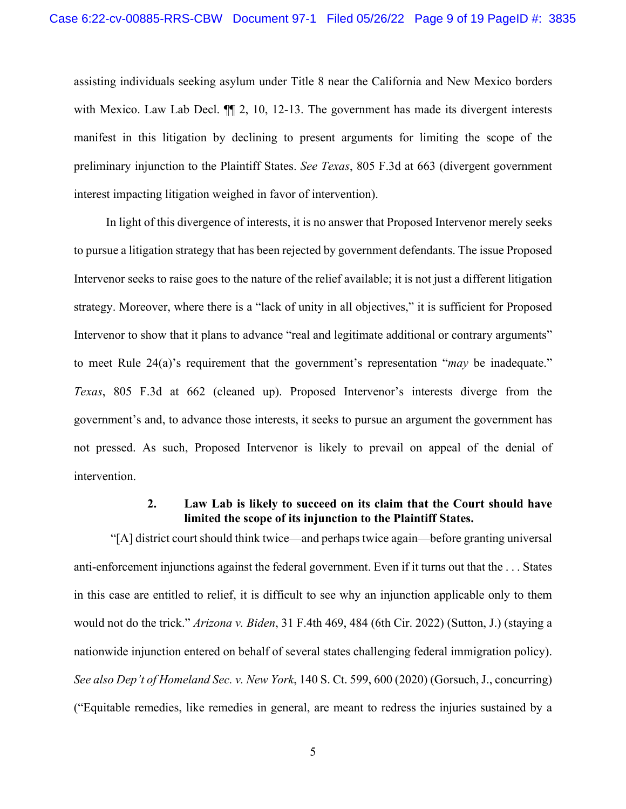assisting individuals seeking asylum under Title 8 near the California and New Mexico borders with Mexico. Law Lab Decl.  $\P$ [2, 10, 12-13. The government has made its divergent interests manifest in this litigation by declining to present arguments for limiting the scope of the preliminary injunction to the Plaintiff States. *See Texas*, 805 F.3d at 663 (divergent government interest impacting litigation weighed in favor of intervention).

In light of this divergence of interests, it is no answer that Proposed Intervenor merely seeks to pursue a litigation strategy that has been rejected by government defendants. The issue Proposed Intervenor seeks to raise goes to the nature of the relief available; it is not just a different litigation strategy. Moreover, where there is a "lack of unity in all objectives," it is sufficient for Proposed Intervenor to show that it plans to advance "real and legitimate additional or contrary arguments" to meet Rule 24(a)'s requirement that the government's representation "*may* be inadequate." *Texas*, 805 F.3d at 662 (cleaned up). Proposed Intervenor's interests diverge from the government's and, to advance those interests, it seeks to pursue an argument the government has not pressed. As such, Proposed Intervenor is likely to prevail on appeal of the denial of intervention.

# **2. Law Lab is likely to succeed on its claim that the Court should have limited the scope of its injunction to the Plaintiff States.**

"[A] district court should think twice—and perhaps twice again—before granting universal anti-enforcement injunctions against the federal government. Even if it turns out that the . . . States in this case are entitled to relief, it is difficult to see why an injunction applicable only to them would not do the trick." *Arizona v. Biden*, 31 F.4th 469, 484 (6th Cir. 2022) (Sutton, J.) (staying a nationwide injunction entered on behalf of several states challenging federal immigration policy). *See also Dep't of Homeland Sec. v. New York*, 140 S. Ct. 599, 600 (2020) (Gorsuch, J., concurring) ("Equitable remedies, like remedies in general, are meant to redress the injuries sustained by a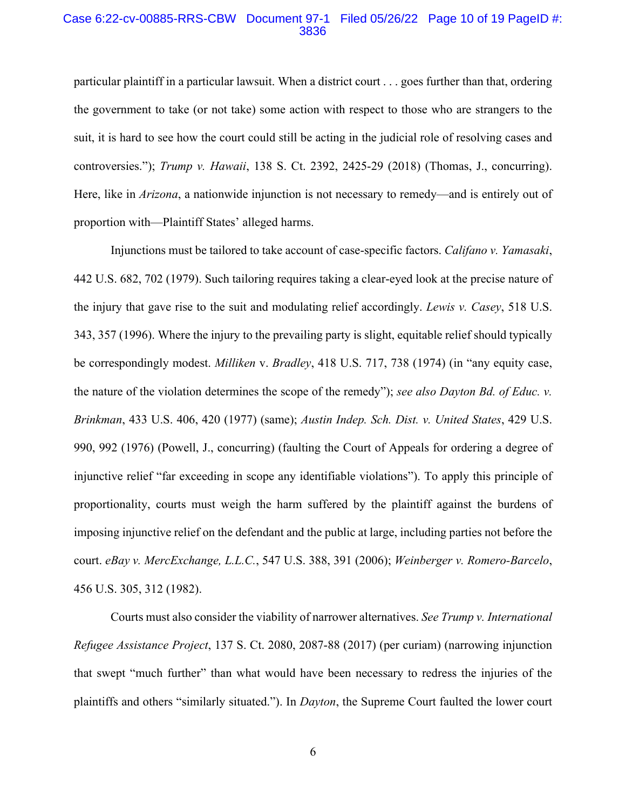#### Case 6:22-cv-00885-RRS-CBW Document 97-1 Filed 05/26/22 Page 10 of 19 PageID #: 3836

particular plaintiff in a particular lawsuit. When a district court . . . goes further than that, ordering the government to take (or not take) some action with respect to those who are strangers to the suit, it is hard to see how the court could still be acting in the judicial role of resolving cases and controversies."); *Trump v. Hawaii*, 138 S. Ct. 2392, 2425-29 (2018) (Thomas, J., concurring). Here, like in *Arizona*, a nationwide injunction is not necessary to remedy—and is entirely out of proportion with—Plaintiff States' alleged harms.

Injunctions must be tailored to take account of case-specific factors. *Califano v. Yamasaki*, 442 U.S. 682, 702 (1979). Such tailoring requires taking a clear-eyed look at the precise nature of the injury that gave rise to the suit and modulating relief accordingly. *Lewis v. Casey*, 518 U.S. 343, 357 (1996). Where the injury to the prevailing party is slight, equitable relief should typically be correspondingly modest. *Milliken* v. *Bradley*, 418 U.S. 717, 738 (1974) (in "any equity case, the nature of the violation determines the scope of the remedy"); *see also Dayton Bd. of Educ. v. Brinkman*, 433 U.S. 406, 420 (1977) (same); *Austin Indep. Sch. Dist. v. United States*, 429 U.S. 990, 992 (1976) (Powell, J., concurring) (faulting the Court of Appeals for ordering a degree of injunctive relief "far exceeding in scope any identifiable violations"). To apply this principle of proportionality, courts must weigh the harm suffered by the plaintiff against the burdens of imposing injunctive relief on the defendant and the public at large, including parties not before the court. *eBay v. MercExchange, L.L.C.*, 547 U.S. 388, 391 (2006); *Weinberger v. Romero-Barcelo*, 456 U.S. 305, 312 (1982).

Courts must also consider the viability of narrower alternatives. *See Trump v. International Refugee Assistance Project*, 137 S. Ct. 2080, 2087-88 (2017) (per curiam) (narrowing injunction that swept "much further" than what would have been necessary to redress the injuries of the plaintiffs and others "similarly situated."). In *Dayton*, the Supreme Court faulted the lower court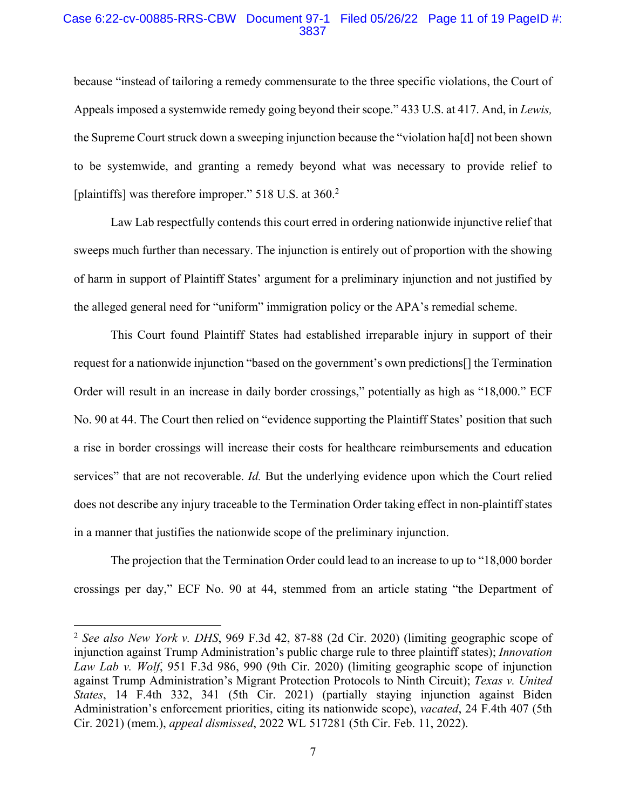#### Case 6:22-cv-00885-RRS-CBW Document 97-1 Filed 05/26/22 Page 11 of 19 PageID #: 3837

because "instead of tailoring a remedy commensurate to the three specific violations, the Court of Appeals imposed a systemwide remedy going beyond their scope." 433 U.S. at 417. And, in *Lewis,* the Supreme Court struck down a sweeping injunction because the "violation ha[d] not been shown to be systemwide, and granting a remedy beyond what was necessary to provide relief to [plaintiffs] was therefore improper." 518 U.S. at 360.<sup>2</sup>

Law Lab respectfully contends this court erred in ordering nationwide injunctive relief that sweeps much further than necessary. The injunction is entirely out of proportion with the showing of harm in support of Plaintiff States' argument for a preliminary injunction and not justified by the alleged general need for "uniform" immigration policy or the APA's remedial scheme.

This Court found Plaintiff States had established irreparable injury in support of their request for a nationwide injunction "based on the government's own predictions[] the Termination Order will result in an increase in daily border crossings," potentially as high as "18,000." ECF No. 90 at 44. The Court then relied on "evidence supporting the Plaintiff States' position that such a rise in border crossings will increase their costs for healthcare reimbursements and education services" that are not recoverable. *Id.* But the underlying evidence upon which the Court relied does not describe any injury traceable to the Termination Order taking effect in non-plaintiff states in a manner that justifies the nationwide scope of the preliminary injunction.

The projection that the Termination Order could lead to an increase to up to "18,000 border crossings per day," ECF No. 90 at 44, stemmed from an article stating "the Department of

<sup>2</sup> *See also New York v. DHS*, 969 F.3d 42, 87-88 (2d Cir. 2020) (limiting geographic scope of injunction against Trump Administration's public charge rule to three plaintiff states); *Innovation Law Lab v. Wolf*, 951 F.3d 986, 990 (9th Cir. 2020) (limiting geographic scope of injunction against Trump Administration's Migrant Protection Protocols to Ninth Circuit); *Texas v. United States*, 14 F.4th 332, 341 (5th Cir. 2021) (partially staying injunction against Biden Administration's enforcement priorities, citing its nationwide scope), *vacated*, 24 F.4th 407 (5th Cir. 2021) (mem.), *appeal dismissed*, 2022 WL 517281 (5th Cir. Feb. 11, 2022).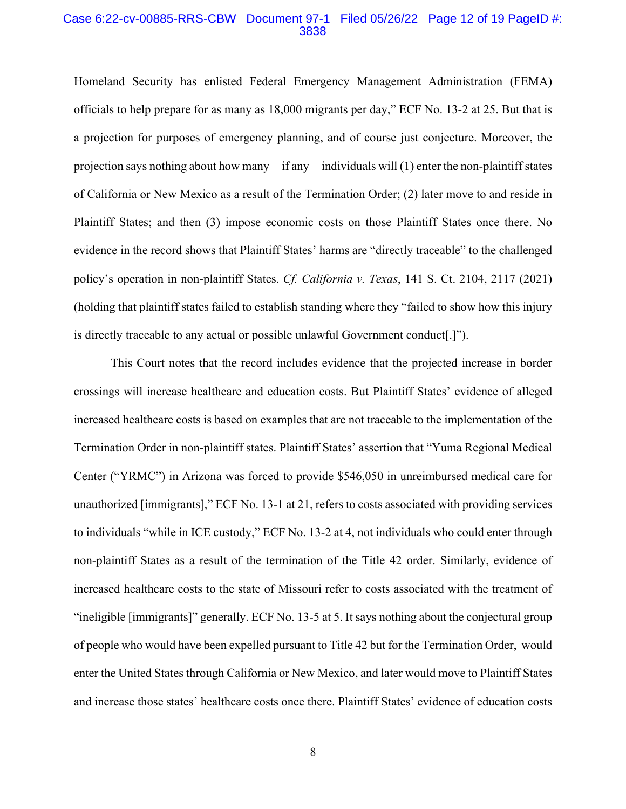#### Case 6:22-cv-00885-RRS-CBW Document 97-1 Filed 05/26/22 Page 12 of 19 PageID #: 3838

Homeland Security has enlisted Federal Emergency Management Administration (FEMA) officials to help prepare for as many as 18,000 migrants per day," ECF No. 13-2 at 25. But that is a projection for purposes of emergency planning, and of course just conjecture. Moreover, the projection says nothing about how many—if any—individuals will (1) enter the non-plaintiff states of California or New Mexico as a result of the Termination Order; (2) later move to and reside in Plaintiff States; and then (3) impose economic costs on those Plaintiff States once there. No evidence in the record shows that Plaintiff States' harms are "directly traceable" to the challenged policy's operation in non-plaintiff States. *Cf. California v. Texas*, 141 S. Ct. 2104, 2117 (2021) (holding that plaintiff states failed to establish standing where they "failed to show how this injury is directly traceable to any actual or possible unlawful Government conduct[.]").

This Court notes that the record includes evidence that the projected increase in border crossings will increase healthcare and education costs. But Plaintiff States' evidence of alleged increased healthcare costs is based on examples that are not traceable to the implementation of the Termination Order in non-plaintiff states. Plaintiff States' assertion that "Yuma Regional Medical Center ("YRMC") in Arizona was forced to provide \$546,050 in unreimbursed medical care for unauthorized [immigrants]," ECF No. 13-1 at 21, refers to costs associated with providing services to individuals "while in ICE custody," ECF No. 13-2 at 4, not individuals who could enter through non-plaintiff States as a result of the termination of the Title 42 order. Similarly, evidence of increased healthcare costs to the state of Missouri refer to costs associated with the treatment of "ineligible [immigrants]" generally. ECF No. 13-5 at 5. It says nothing about the conjectural group of people who would have been expelled pursuant to Title 42 but for the Termination Order, would enter the United States through California or New Mexico, and later would move to Plaintiff States and increase those states' healthcare costs once there. Plaintiff States' evidence of education costs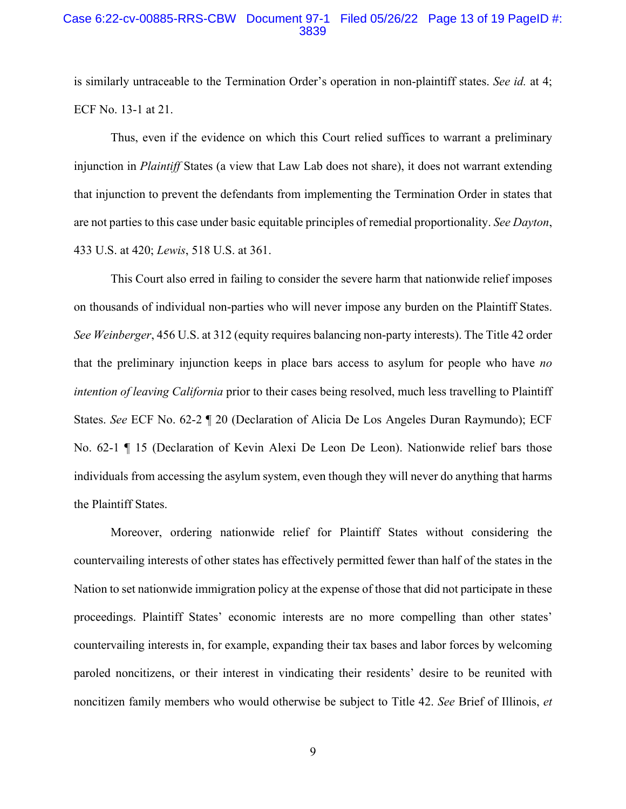#### Case 6:22-cv-00885-RRS-CBW Document 97-1 Filed 05/26/22 Page 13 of 19 PageID #: 3839

is similarly untraceable to the Termination Order's operation in non-plaintiff states. *See id.* at 4; ECF No. 13-1 at 21.

Thus, even if the evidence on which this Court relied suffices to warrant a preliminary injunction in *Plaintiff* States (a view that Law Lab does not share), it does not warrant extending that injunction to prevent the defendants from implementing the Termination Order in states that are not parties to this case under basic equitable principles of remedial proportionality. *See Dayton*, 433 U.S. at 420; *Lewis*, 518 U.S. at 361.

This Court also erred in failing to consider the severe harm that nationwide relief imposes on thousands of individual non-parties who will never impose any burden on the Plaintiff States. *See Weinberger*, 456 U.S. at 312 (equity requires balancing non-party interests). The Title 42 order that the preliminary injunction keeps in place bars access to asylum for people who have *no intention of leaving California* prior to their cases being resolved, much less travelling to Plaintiff States. *See* ECF No. 62-2 ¶ 20 (Declaration of Alicia De Los Angeles Duran Raymundo); ECF No. 62-1 ¶ 15 (Declaration of Kevin Alexi De Leon De Leon). Nationwide relief bars those individuals from accessing the asylum system, even though they will never do anything that harms the Plaintiff States.

Moreover, ordering nationwide relief for Plaintiff States without considering the countervailing interests of other states has effectively permitted fewer than half of the states in the Nation to set nationwide immigration policy at the expense of those that did not participate in these proceedings. Plaintiff States' economic interests are no more compelling than other states' countervailing interests in, for example, expanding their tax bases and labor forces by welcoming paroled noncitizens, or their interest in vindicating their residents' desire to be reunited with noncitizen family members who would otherwise be subject to Title 42. *See* Brief of Illinois, *et*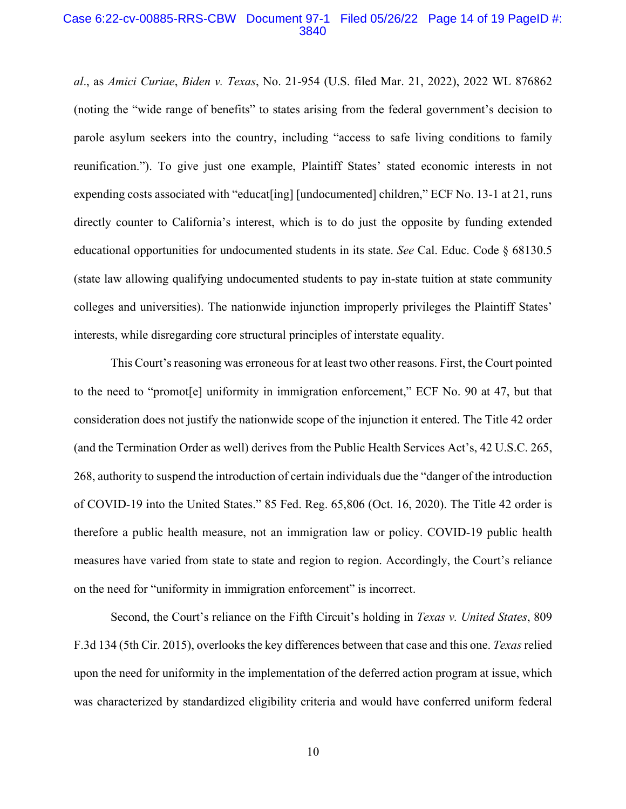#### Case 6:22-cv-00885-RRS-CBW Document 97-1 Filed 05/26/22 Page 14 of 19 PageID #: 3840

*al*., as *Amici Curiae*, *Biden v. Texas*, No. 21-954 (U.S. filed Mar. 21, 2022), 2022 WL 876862 (noting the "wide range of benefits" to states arising from the federal government's decision to parole asylum seekers into the country, including "access to safe living conditions to family reunification."). To give just one example, Plaintiff States' stated economic interests in not expending costs associated with "educat [ing] [undocumented] children," ECF No. 13-1 at 21, runs directly counter to California's interest, which is to do just the opposite by funding extended educational opportunities for undocumented students in its state. *See* Cal. Educ. Code § 68130.5 (state law allowing qualifying undocumented students to pay in-state tuition at state community colleges and universities). The nationwide injunction improperly privileges the Plaintiff States' interests, while disregarding core structural principles of interstate equality.

This Court's reasoning was erroneous for at least two other reasons. First, the Court pointed to the need to "promot[e] uniformity in immigration enforcement," ECF No. 90 at 47, but that consideration does not justify the nationwide scope of the injunction it entered. The Title 42 order (and the Termination Order as well) derives from the Public Health Services Act's, 42 U.S.C. 265, 268, authority to suspend the introduction of certain individuals due the "danger of the introduction of COVID-19 into the United States." 85 Fed. Reg. 65,806 (Oct. 16, 2020). The Title 42 order is therefore a public health measure, not an immigration law or policy. COVID-19 public health measures have varied from state to state and region to region. Accordingly, the Court's reliance on the need for "uniformity in immigration enforcement" is incorrect.

Second, the Court's reliance on the Fifth Circuit's holding in *Texas v. United States*, 809 F.3d 134 (5th Cir. 2015), overlooks the key differences between that case and this one. *Texas* relied upon the need for uniformity in the implementation of the deferred action program at issue, which was characterized by standardized eligibility criteria and would have conferred uniform federal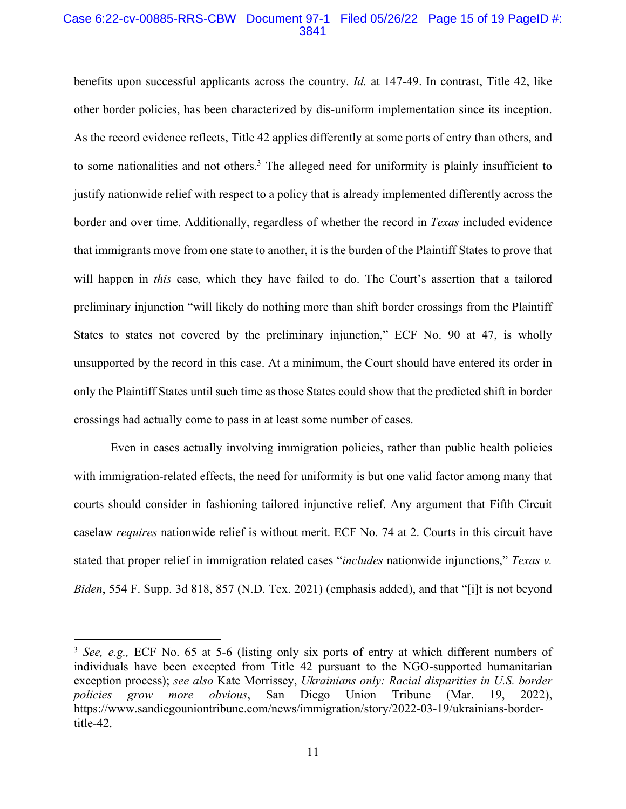#### Case 6:22-cv-00885-RRS-CBW Document 97-1 Filed 05/26/22 Page 15 of 19 PageID #: 3841

benefits upon successful applicants across the country. *Id.* at 147-49. In contrast, Title 42, like other border policies, has been characterized by dis-uniform implementation since its inception. As the record evidence reflects, Title 42 applies differently at some ports of entry than others, and to some nationalities and not others.<sup>3</sup> The alleged need for uniformity is plainly insufficient to justify nationwide relief with respect to a policy that is already implemented differently across the border and over time. Additionally, regardless of whether the record in *Texas* included evidence that immigrants move from one state to another, it is the burden of the Plaintiff States to prove that will happen in *this* case, which they have failed to do. The Court's assertion that a tailored preliminary injunction "will likely do nothing more than shift border crossings from the Plaintiff States to states not covered by the preliminary injunction," ECF No. 90 at 47, is wholly unsupported by the record in this case. At a minimum, the Court should have entered its order in only the Plaintiff States until such time as those States could show that the predicted shift in border crossings had actually come to pass in at least some number of cases.

Even in cases actually involving immigration policies, rather than public health policies with immigration-related effects, the need for uniformity is but one valid factor among many that courts should consider in fashioning tailored injunctive relief. Any argument that Fifth Circuit caselaw *requires* nationwide relief is without merit. ECF No. 74 at 2. Courts in this circuit have stated that proper relief in immigration related cases "*includes* nationwide injunctions," *Texas v. Biden*, 554 F. Supp. 3d 818, 857 (N.D. Tex. 2021) (emphasis added), and that "[i]t is not beyond

<sup>&</sup>lt;sup>3</sup> *See, e.g., ECF No. 65 at 5-6 (listing only six ports of entry at which different numbers of* individuals have been excepted from Title 42 pursuant to the NGO-supported humanitarian exception process); *see also* Kate Morrissey, *Ukrainians only: Racial disparities in U.S. border policies grow more obvious*, San Diego Union Tribune (Mar. 19, 2022), https://www.sandiegouniontribune.com/news/immigration/story/2022-03-19/ukrainians-bordertitle-42.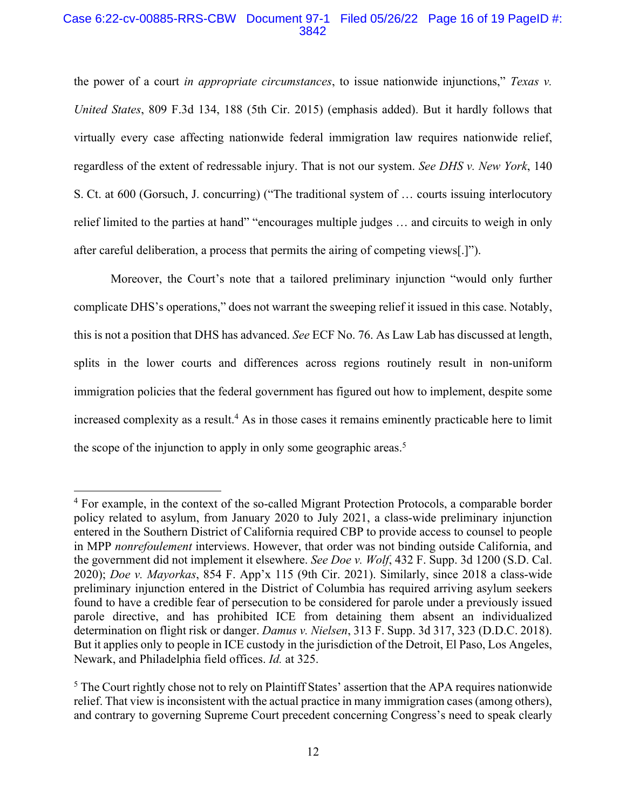# Case 6:22-cv-00885-RRS-CBW Document 97-1 Filed 05/26/22 Page 16 of 19 PageID #: 3842

the power of a court *in appropriate circumstances*, to issue nationwide injunctions," *Texas v. United States*, 809 F.3d 134, 188 (5th Cir. 2015) (emphasis added). But it hardly follows that virtually every case affecting nationwide federal immigration law requires nationwide relief, regardless of the extent of redressable injury. That is not our system. *See DHS v. New York*, 140 S. Ct. at 600 (Gorsuch, J. concurring) ("The traditional system of … courts issuing interlocutory relief limited to the parties at hand" "encourages multiple judges … and circuits to weigh in only after careful deliberation, a process that permits the airing of competing views[.]").

Moreover, the Court's note that a tailored preliminary injunction "would only further complicate DHS's operations," does not warrant the sweeping relief it issued in this case. Notably, this is not a position that DHS has advanced. *See* ECF No. 76. As Law Lab has discussed at length, splits in the lower courts and differences across regions routinely result in non-uniform immigration policies that the federal government has figured out how to implement, despite some increased complexity as a result. <sup>4</sup> As in those cases it remains eminently practicable here to limit the scope of the injunction to apply in only some geographic areas.<sup>5</sup>

<sup>4</sup> For example, in the context of the so-called Migrant Protection Protocols, a comparable border policy related to asylum, from January 2020 to July 2021, a class-wide preliminary injunction entered in the Southern District of California required CBP to provide access to counsel to people in MPP *nonrefoulement* interviews. However, that order was not binding outside California, and the government did not implement it elsewhere. *See Doe v. Wolf*, 432 F. Supp. 3d 1200 (S.D. Cal. 2020); *Doe v. Mayorkas*, 854 F. App'x 115 (9th Cir. 2021). Similarly, since 2018 a class-wide preliminary injunction entered in the District of Columbia has required arriving asylum seekers found to have a credible fear of persecution to be considered for parole under a previously issued parole directive, and has prohibited ICE from detaining them absent an individualized determination on flight risk or danger. *Damus v. Nielsen*, 313 F. Supp. 3d 317, 323 (D.D.C. 2018). But it applies only to people in ICE custody in the jurisdiction of the Detroit, El Paso, Los Angeles, Newark, and Philadelphia field offices. *Id.* at 325.

<sup>&</sup>lt;sup>5</sup> The Court rightly chose not to rely on Plaintiff States' assertion that the APA requires nationwide relief. That view is inconsistent with the actual practice in many immigration cases (among others), and contrary to governing Supreme Court precedent concerning Congress's need to speak clearly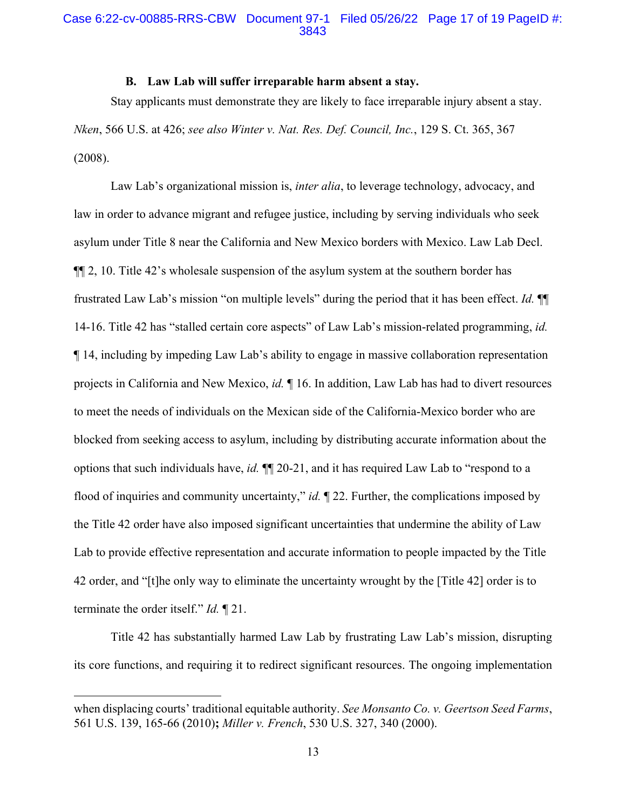#### **B. Law Lab will suffer irreparable harm absent a stay.**

Stay applicants must demonstrate they are likely to face irreparable injury absent a stay. *Nken*, 566 U.S. at 426; *see also Winter v. Nat. Res. Def. Council, Inc.*, 129 S. Ct. 365, 367 (2008).

Law Lab's organizational mission is, *inter alia*, to leverage technology, advocacy, and law in order to advance migrant and refugee justice, including by serving individuals who seek asylum under Title 8 near the California and New Mexico borders with Mexico. Law Lab Decl. ¶¶ 2, 10. Title 42's wholesale suspension of the asylum system at the southern border has frustrated Law Lab's mission "on multiple levels" during the period that it has been effect. *Id.* ¶¶ 14-16. Title 42 has "stalled certain core aspects" of Law Lab's mission-related programming, *id.* ¶ 14, including by impeding Law Lab's ability to engage in massive collaboration representation projects in California and New Mexico, *id.* ¶ 16. In addition, Law Lab has had to divert resources to meet the needs of individuals on the Mexican side of the California-Mexico border who are blocked from seeking access to asylum, including by distributing accurate information about the options that such individuals have, *id.* ¶¶ 20-21, and it has required Law Lab to "respond to a flood of inquiries and community uncertainty," *id.*  $\mathbb{I}$  22. Further, the complications imposed by the Title 42 order have also imposed significant uncertainties that undermine the ability of Law Lab to provide effective representation and accurate information to people impacted by the Title 42 order, and "[t]he only way to eliminate the uncertainty wrought by the [Title 42] order is to terminate the order itself." *Id.* ¶ 21.

Title 42 has substantially harmed Law Lab by frustrating Law Lab's mission, disrupting its core functions, and requiring it to redirect significant resources. The ongoing implementation

when displacing courts' traditional equitable authority. *See Monsanto Co. v. Geertson Seed Farms*, 561 U.S. 139, 165-66 (2010)**;** *Miller v. French*, 530 U.S. 327, 340 (2000).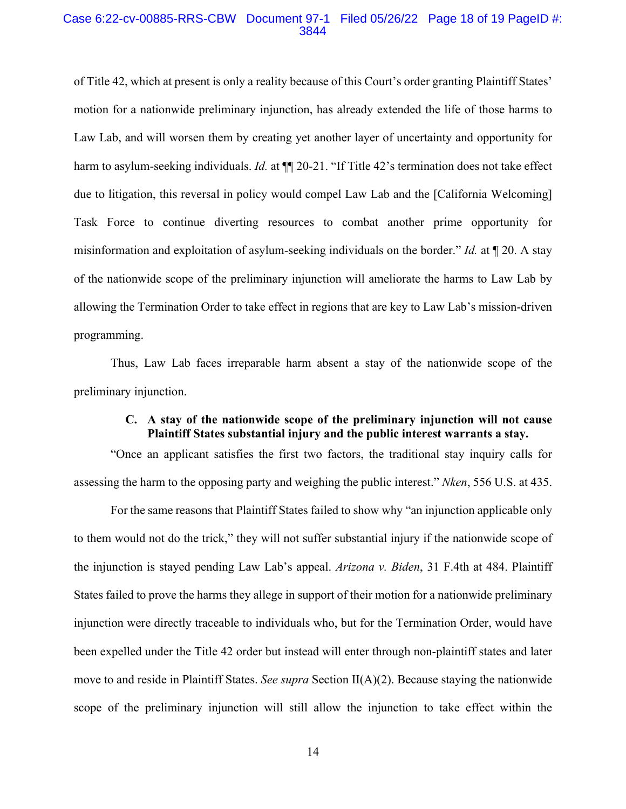#### Case 6:22-cv-00885-RRS-CBW Document 97-1 Filed 05/26/22 Page 18 of 19 PageID #: 3844

of Title 42, which at present is only a reality because of this Court's order granting Plaintiff States' motion for a nationwide preliminary injunction, has already extended the life of those harms to Law Lab, and will worsen them by creating yet another layer of uncertainty and opportunity for harm to asylum-seeking individuals. *Id.* at  $\P$  20-21. "If Title 42's termination does not take effect due to litigation, this reversal in policy would compel Law Lab and the [California Welcoming] Task Force to continue diverting resources to combat another prime opportunity for misinformation and exploitation of asylum-seeking individuals on the border." *Id.* at ¶ 20. A stay of the nationwide scope of the preliminary injunction will ameliorate the harms to Law Lab by allowing the Termination Order to take effect in regions that are key to Law Lab's mission-driven programming.

Thus, Law Lab faces irreparable harm absent a stay of the nationwide scope of the preliminary injunction.

# **C. A stay of the nationwide scope of the preliminary injunction will not cause Plaintiff States substantial injury and the public interest warrants a stay.**

"Once an applicant satisfies the first two factors, the traditional stay inquiry calls for assessing the harm to the opposing party and weighing the public interest." *Nken*, 556 U.S. at 435.

For the same reasons that Plaintiff States failed to show why "an injunction applicable only to them would not do the trick," they will not suffer substantial injury if the nationwide scope of the injunction is stayed pending Law Lab's appeal. *Arizona v. Biden*, 31 F.4th at 484. Plaintiff States failed to prove the harms they allege in support of their motion for a nationwide preliminary injunction were directly traceable to individuals who, but for the Termination Order, would have been expelled under the Title 42 order but instead will enter through non-plaintiff states and later move to and reside in Plaintiff States. *See supra* Section II(A)(2). Because staying the nationwide scope of the preliminary injunction will still allow the injunction to take effect within the